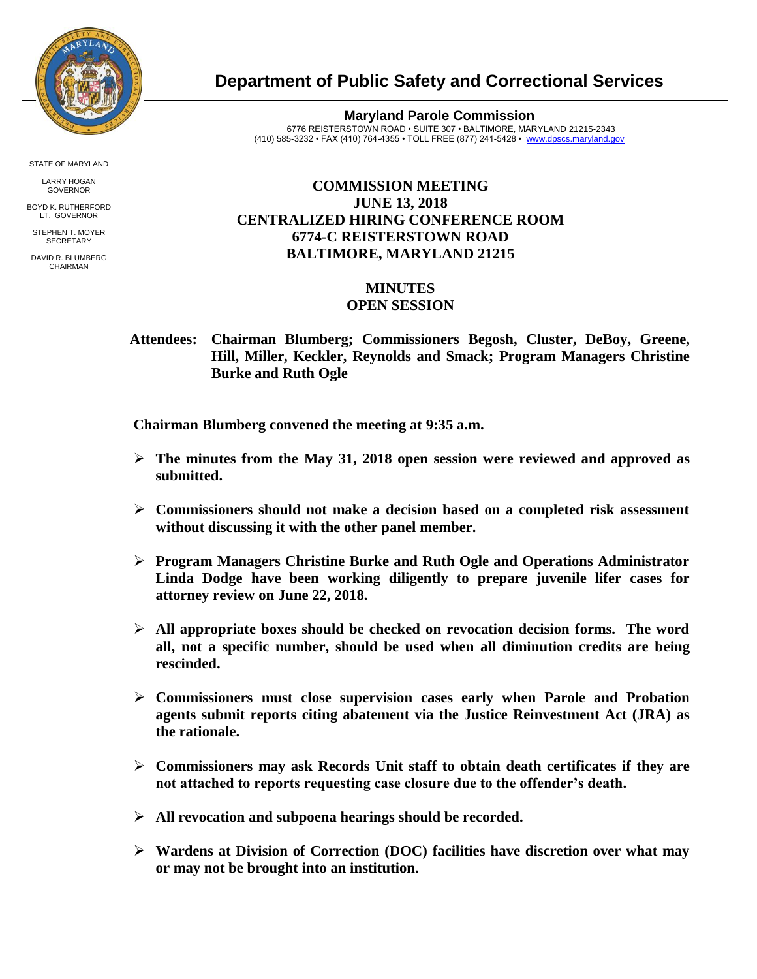

STATE OF MARYLAND

LARRY HOGAN GOVERNOR

BOYD K. RUTHERFORD LT. GOVERNOR STEPHEN T. MOYER

**SECRETARY** 

DAVID R. BLUMBERG CHAIRMAN

## **Department of Public Safety and Correctional Services**

**Maryland Parole Commission** 6776 REISTERSTOWN ROAD • SUITE 307 • BALTIMORE, MARYLAND 21215-2343 (410) 585-3232 • FAX (410) 764-4355 • TOLL FREE (877) 241-5428 • [www.dpscs.maryland.gov](http://www.dpscs.maryland.gov/) 

## **COMMISSION MEETING JUNE 13, 2018 CENTRALIZED HIRING CONFERENCE ROOM 6774-C REISTERSTOWN ROAD BALTIMORE, MARYLAND 21215**

## **MINUTES OPEN SESSION**

 **Attendees: Chairman Blumberg; Commissioners Begosh, Cluster, DeBoy, Greene, Hill, Miller, Keckler, Reynolds and Smack; Program Managers Christine Burke and Ruth Ogle**

 **Chairman Blumberg convened the meeting at 9:35 a.m.**

- **The minutes from the May 31, 2018 open session were reviewed and approved as submitted.**
- **Commissioners should not make a decision based on a completed risk assessment without discussing it with the other panel member.**
- **Program Managers Christine Burke and Ruth Ogle and Operations Administrator Linda Dodge have been working diligently to prepare juvenile lifer cases for attorney review on June 22, 2018.**
- **All appropriate boxes should be checked on revocation decision forms. The word all, not a specific number, should be used when all diminution credits are being rescinded.**
- **Commissioners must close supervision cases early when Parole and Probation agents submit reports citing abatement via the Justice Reinvestment Act (JRA) as the rationale.**
- **Commissioners may ask Records Unit staff to obtain death certificates if they are not attached to reports requesting case closure due to the offender's death.**
- **All revocation and subpoena hearings should be recorded.**
- **Wardens at Division of Correction (DOC) facilities have discretion over what may or may not be brought into an institution.**